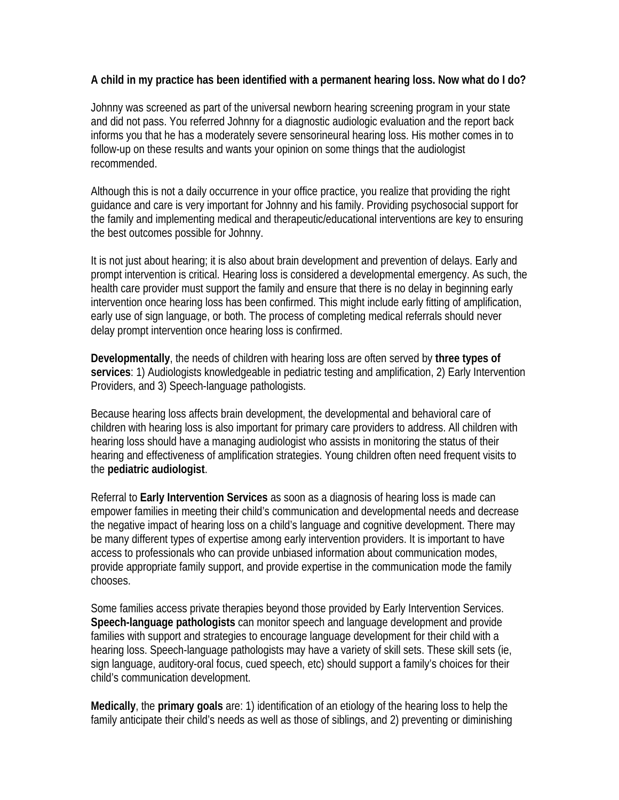## **A child in my practice has been identified with a permanent hearing loss. Now what do I do?**

Johnny was screened as part of the universal newborn hearing screening program in your state and did not pass. You referred Johnny for a diagnostic audiologic evaluation and the report back informs you that he has a moderately severe sensorineural hearing loss. His mother comes in to follow-up on these results and wants your opinion on some things that the audiologist recommended.

Although this is not a daily occurrence in your office practice, you realize that providing the right guidance and care is very important for Johnny and his family. Providing psychosocial support for the family and implementing medical and therapeutic/educational interventions are key to ensuring the best outcomes possible for Johnny.

It is not just about hearing; it is also about brain development and prevention of delays. Early and prompt intervention is critical. Hearing loss is considered a developmental emergency. As such, the health care provider must support the family and ensure that there is no delay in beginning early intervention once hearing loss has been confirmed. This might include early fitting of amplification, early use of sign language, or both. The process of completing medical referrals should never delay prompt intervention once hearing loss is confirmed.

**Developmentally**, the needs of children with hearing loss are often served by **three types of services**: 1) Audiologists knowledgeable in pediatric testing and amplification, 2) Early Intervention Providers, and 3) Speech-language pathologists.

Because hearing loss affects brain development, the developmental and behavioral care of children with hearing loss is also important for primary care providers to address. All children with hearing loss should have a managing audiologist who assists in monitoring the status of their hearing and effectiveness of amplification strategies. Young children often need frequent visits to the **pediatric audiologist**.

Referral to **Early Intervention Services** as soon as a diagnosis of hearing loss is made can empower families in meeting their child's communication and developmental needs and decrease the negative impact of hearing loss on a child's language and cognitive development. There may be many different types of expertise among early intervention providers. It is important to have access to professionals who can provide unbiased information about communication modes, provide appropriate family support, and provide expertise in the communication mode the family chooses.

Some families access private therapies beyond those provided by Early Intervention Services. **Speech-language pathologists** can monitor speech and language development and provide families with support and strategies to encourage language development for their child with a hearing loss. Speech-language pathologists may have a variety of skill sets. These skill sets (ie, sign language, auditory-oral focus, cued speech, etc) should support a family's choices for their child's communication development.

**Medically**, the **primary goals** are: 1) identification of an etiology of the hearing loss to help the family anticipate their child's needs as well as those of siblings, and 2) preventing or diminishing